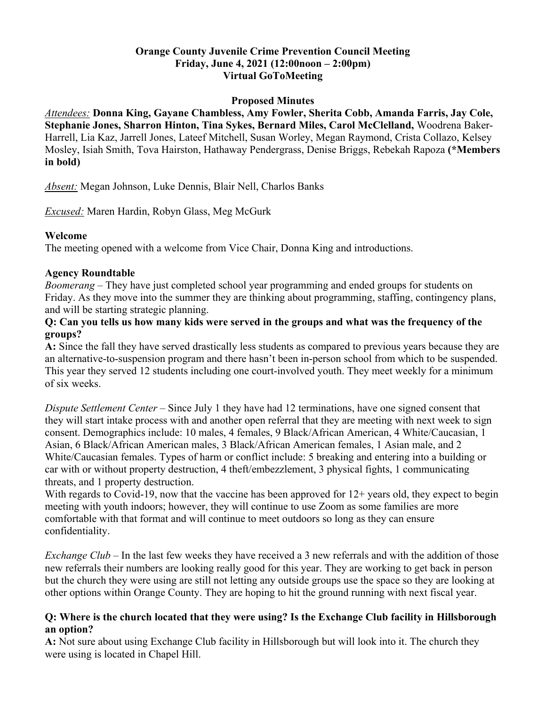## **Orange County Juvenile Crime Prevention Council Meeting Friday, June 4, 2021 (12:00noon – 2:00pm) Virtual GoToMeeting**

### **Proposed Minutes**

*Attendees:* **Donna King, Gayane Chambless, Amy Fowler, Sherita Cobb, Amanda Farris, Jay Cole, Stephanie Jones, Sharron Hinton, Tina Sykes, Bernard Miles, Carol McClelland,** Woodrena Baker-Harrell, Lia Kaz, Jarrell Jones, Lateef Mitchell, Susan Worley, Megan Raymond, Crista Collazo, Kelsey Mosley, Isiah Smith, Tova Hairston, Hathaway Pendergrass, Denise Briggs, Rebekah Rapoza **(\*Members in bold)**

*Absent:* Megan Johnson, Luke Dennis, Blair Nell, Charlos Banks

*Excused:* Maren Hardin, Robyn Glass, Meg McGurk

### **Welcome**

The meeting opened with a welcome from Vice Chair, Donna King and introductions.

### **Agency Roundtable**

*Boomerang* – They have just completed school year programming and ended groups for students on Friday. As they move into the summer they are thinking about programming, staffing, contingency plans, and will be starting strategic planning.

### **Q: Can you tells us how many kids were served in the groups and what was the frequency of the groups?**

**A:** Since the fall they have served drastically less students as compared to previous years because they are an alternative-to-suspension program and there hasn't been in-person school from which to be suspended. This year they served 12 students including one court-involved youth. They meet weekly for a minimum of six weeks.

*Dispute Settlement Center* – Since July 1 they have had 12 terminations, have one signed consent that they will start intake process with and another open referral that they are meeting with next week to sign consent. Demographics include: 10 males, 4 females, 9 Black/African American, 4 White/Caucasian, 1 Asian, 6 Black/African American males, 3 Black/African American females, 1 Asian male, and 2 White/Caucasian females. Types of harm or conflict include: 5 breaking and entering into a building or car with or without property destruction, 4 theft/embezzlement, 3 physical fights, 1 communicating threats, and 1 property destruction.

With regards to Covid-19, now that the vaccine has been approved for 12+ years old, they expect to begin meeting with youth indoors; however, they will continue to use Zoom as some families are more comfortable with that format and will continue to meet outdoors so long as they can ensure confidentiality.

*Exchange Club* – In the last few weeks they have received a 3 new referrals and with the addition of those new referrals their numbers are looking really good for this year. They are working to get back in person but the church they were using are still not letting any outside groups use the space so they are looking at other options within Orange County. They are hoping to hit the ground running with next fiscal year.

## **Q: Where is the church located that they were using? Is the Exchange Club facility in Hillsborough an option?**

**A:** Not sure about using Exchange Club facility in Hillsborough but will look into it. The church they were using is located in Chapel Hill.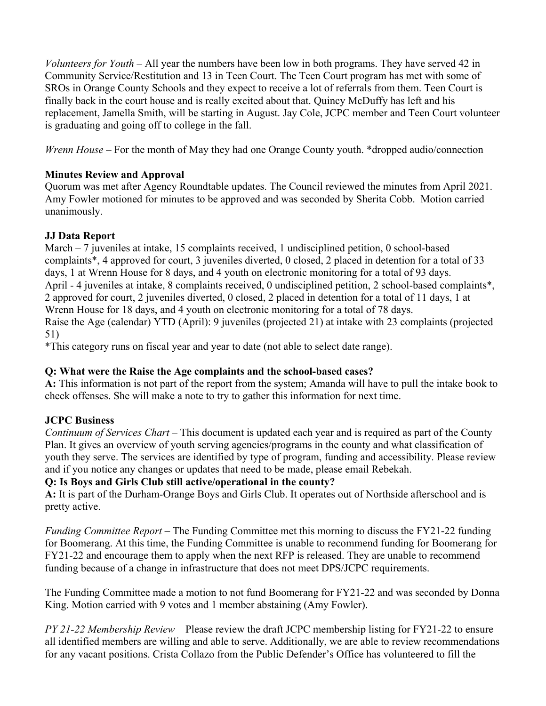*Volunteers for Youth* – All year the numbers have been low in both programs. They have served 42 in Community Service/Restitution and 13 in Teen Court. The Teen Court program has met with some of SROs in Orange County Schools and they expect to receive a lot of referrals from them. Teen Court is finally back in the court house and is really excited about that. Quincy McDuffy has left and his replacement, Jamella Smith, will be starting in August. Jay Cole, JCPC member and Teen Court volunteer is graduating and going off to college in the fall.

*Wrenn House –* For the month of May they had one Orange County youth. \*dropped audio/connection

# **Minutes Review and Approval**

Quorum was met after Agency Roundtable updates. The Council reviewed the minutes from April 2021. Amy Fowler motioned for minutes to be approved and was seconded by Sherita Cobb. Motion carried unanimously.

# **JJ Data Report**

March – 7 juveniles at intake, 15 complaints received, 1 undisciplined petition, 0 school-based complaints\*, 4 approved for court, 3 juveniles diverted, 0 closed, 2 placed in detention for a total of 33 days, 1 at Wrenn House for 8 days, and 4 youth on electronic monitoring for a total of 93 days. April - 4 juveniles at intake, 8 complaints received, 0 undisciplined petition, 2 school-based complaints\*, 2 approved for court, 2 juveniles diverted, 0 closed, 2 placed in detention for a total of 11 days, 1 at Wrenn House for 18 days, and 4 youth on electronic monitoring for a total of 78 days. Raise the Age (calendar) YTD (April): 9 juveniles (projected 21) at intake with 23 complaints (projected 51)

\*This category runs on fiscal year and year to date (not able to select date range).

# **Q: What were the Raise the Age complaints and the school-based cases?**

**A:** This information is not part of the report from the system; Amanda will have to pull the intake book to check offenses. She will make a note to try to gather this information for next time.

# **JCPC Business**

*Continuum of Services Chart* – This document is updated each year and is required as part of the County Plan. It gives an overview of youth serving agencies/programs in the county and what classification of youth they serve. The services are identified by type of program, funding and accessibility. Please review and if you notice any changes or updates that need to be made, please email Rebekah.

# **Q: Is Boys and Girls Club still active/operational in the county?**

**A:** It is part of the Durham-Orange Boys and Girls Club. It operates out of Northside afterschool and is pretty active.

*Funding Committee Report* – The Funding Committee met this morning to discuss the FY21-22 funding for Boomerang. At this time, the Funding Committee is unable to recommend funding for Boomerang for FY21-22 and encourage them to apply when the next RFP is released. They are unable to recommend funding because of a change in infrastructure that does not meet DPS/JCPC requirements.

The Funding Committee made a motion to not fund Boomerang for FY21-22 and was seconded by Donna King. Motion carried with 9 votes and 1 member abstaining (Amy Fowler).

*PY 21-22 Membership Review* – Please review the draft JCPC membership listing for FY21-22 to ensure all identified members are willing and able to serve. Additionally, we are able to review recommendations for any vacant positions. Crista Collazo from the Public Defender's Office has volunteered to fill the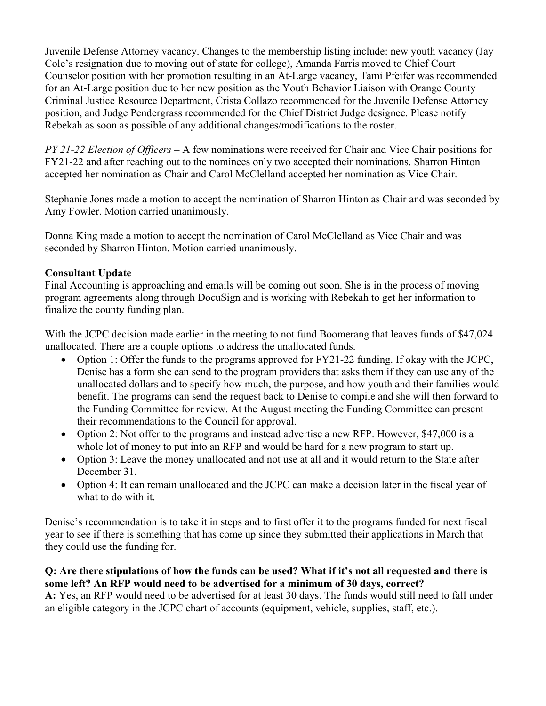Juvenile Defense Attorney vacancy. Changes to the membership listing include: new youth vacancy (Jay Cole's resignation due to moving out of state for college), Amanda Farris moved to Chief Court Counselor position with her promotion resulting in an At-Large vacancy, Tami Pfeifer was recommended for an At-Large position due to her new position as the Youth Behavior Liaison with Orange County Criminal Justice Resource Department, Crista Collazo recommended for the Juvenile Defense Attorney position, and Judge Pendergrass recommended for the Chief District Judge designee. Please notify Rebekah as soon as possible of any additional changes/modifications to the roster.

*PY 21-22 Election of Officers* – A few nominations were received for Chair and Vice Chair positions for FY21-22 and after reaching out to the nominees only two accepted their nominations. Sharron Hinton accepted her nomination as Chair and Carol McClelland accepted her nomination as Vice Chair.

Stephanie Jones made a motion to accept the nomination of Sharron Hinton as Chair and was seconded by Amy Fowler. Motion carried unanimously.

Donna King made a motion to accept the nomination of Carol McClelland as Vice Chair and was seconded by Sharron Hinton. Motion carried unanimously.

# **Consultant Update**

Final Accounting is approaching and emails will be coming out soon. She is in the process of moving program agreements along through DocuSign and is working with Rebekah to get her information to finalize the county funding plan.

With the JCPC decision made earlier in the meeting to not fund Boomerang that leaves funds of \$47,024 unallocated. There are a couple options to address the unallocated funds.

- Option 1: Offer the funds to the programs approved for FY21-22 funding. If okay with the JCPC, Denise has a form she can send to the program providers that asks them if they can use any of the unallocated dollars and to specify how much, the purpose, and how youth and their families would benefit. The programs can send the request back to Denise to compile and she will then forward to the Funding Committee for review. At the August meeting the Funding Committee can present their recommendations to the Council for approval.
- Option 2: Not offer to the programs and instead advertise a new RFP. However, \$47,000 is a whole lot of money to put into an RFP and would be hard for a new program to start up.
- Option 3: Leave the money unallocated and not use at all and it would return to the State after December 31.
- Option 4: It can remain unallocated and the JCPC can make a decision later in the fiscal year of what to do with it.

Denise's recommendation is to take it in steps and to first offer it to the programs funded for next fiscal year to see if there is something that has come up since they submitted their applications in March that they could use the funding for.

## **Q: Are there stipulations of how the funds can be used? What if it's not all requested and there is some left? An RFP would need to be advertised for a minimum of 30 days, correct?**

**A:** Yes, an RFP would need to be advertised for at least 30 days. The funds would still need to fall under an eligible category in the JCPC chart of accounts (equipment, vehicle, supplies, staff, etc.).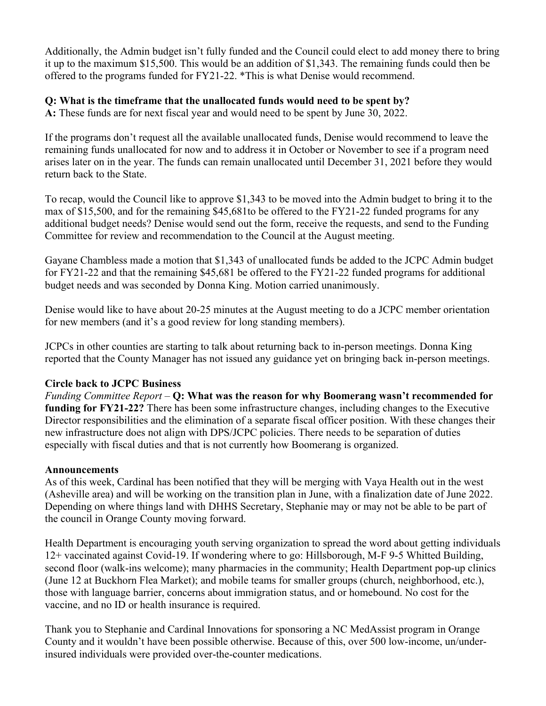Additionally, the Admin budget isn't fully funded and the Council could elect to add money there to bring it up to the maximum \$15,500. This would be an addition of \$1,343. The remaining funds could then be offered to the programs funded for FY21-22. \*This is what Denise would recommend.

# **Q: What is the timeframe that the unallocated funds would need to be spent by?**

**A:** These funds are for next fiscal year and would need to be spent by June 30, 2022.

If the programs don't request all the available unallocated funds, Denise would recommend to leave the remaining funds unallocated for now and to address it in October or November to see if a program need arises later on in the year. The funds can remain unallocated until December 31, 2021 before they would return back to the State.

To recap, would the Council like to approve \$1,343 to be moved into the Admin budget to bring it to the max of \$15,500, and for the remaining \$45,681to be offered to the FY21-22 funded programs for any additional budget needs? Denise would send out the form, receive the requests, and send to the Funding Committee for review and recommendation to the Council at the August meeting.

Gayane Chambless made a motion that \$1,343 of unallocated funds be added to the JCPC Admin budget for FY21-22 and that the remaining \$45,681 be offered to the FY21-22 funded programs for additional budget needs and was seconded by Donna King. Motion carried unanimously.

Denise would like to have about 20-25 minutes at the August meeting to do a JCPC member orientation for new members (and it's a good review for long standing members).

JCPCs in other counties are starting to talk about returning back to in-person meetings. Donna King reported that the County Manager has not issued any guidance yet on bringing back in-person meetings.

### **Circle back to JCPC Business**

*Funding Committee Report* – **Q: What was the reason for why Boomerang wasn't recommended for funding for FY21-22?** There has been some infrastructure changes, including changes to the Executive Director responsibilities and the elimination of a separate fiscal officer position. With these changes their new infrastructure does not align with DPS/JCPC policies. There needs to be separation of duties especially with fiscal duties and that is not currently how Boomerang is organized.

### **Announcements**

As of this week, Cardinal has been notified that they will be merging with Vaya Health out in the west (Asheville area) and will be working on the transition plan in June, with a finalization date of June 2022. Depending on where things land with DHHS Secretary, Stephanie may or may not be able to be part of the council in Orange County moving forward.

Health Department is encouraging youth serving organization to spread the word about getting individuals 12+ vaccinated against Covid-19. If wondering where to go: Hillsborough, M-F 9-5 Whitted Building, second floor (walk-ins welcome); many pharmacies in the community; Health Department pop-up clinics (June 12 at Buckhorn Flea Market); and mobile teams for smaller groups (church, neighborhood, etc.), those with language barrier, concerns about immigration status, and or homebound. No cost for the vaccine, and no ID or health insurance is required.

Thank you to Stephanie and Cardinal Innovations for sponsoring a NC MedAssist program in Orange County and it wouldn't have been possible otherwise. Because of this, over 500 low-income, un/underinsured individuals were provided over-the-counter medications.